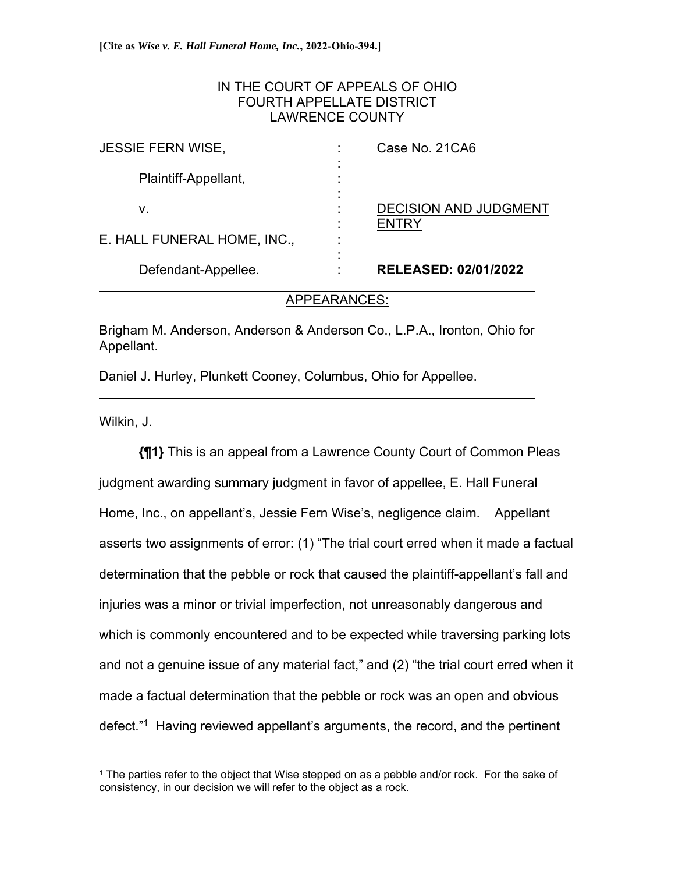# IN THE COURT OF APPEALS OF OHIO FOURTH APPELLATE DISTRICT LAWRENCE COUNTY

| <b>JESSIE FERN WISE,</b>    |   | Case No. 21CA6                        |
|-----------------------------|---|---------------------------------------|
| Plaintiff-Appellant,        |   |                                       |
| v.                          |   | <b>DECISION AND JUDGMENT</b><br>ENTRY |
| E. HALL FUNERAL HOME, INC., | ٠ |                                       |
| Defendant-Appellee.         |   | <b>RELEASED: 02/01/2022</b>           |

## APPEARANCES:

Brigham M. Anderson, Anderson & Anderson Co., L.P.A., Ironton, Ohio for Appellant.

Daniel J. Hurley, Plunkett Cooney, Columbus, Ohio for Appellee.

Wilkin, J.

 $\overline{a}$ 

**{¶1}** This is an appeal from a Lawrence County Court of Common Pleas judgment awarding summary judgment in favor of appellee, E. Hall Funeral Home, Inc., on appellant's, Jessie Fern Wise's, negligence claim. Appellant asserts two assignments of error: (1) "The trial court erred when it made a factual determination that the pebble or rock that caused the plaintiff-appellant's fall and injuries was a minor or trivial imperfection, not unreasonably dangerous and which is commonly encountered and to be expected while traversing parking lots and not a genuine issue of any material fact," and (2) "the trial court erred when it made a factual determination that the pebble or rock was an open and obvious defect."1 Having reviewed appellant's arguments, the record, and the pertinent

<sup>1</sup> The parties refer to the object that Wise stepped on as a pebble and/or rock. For the sake of consistency, in our decision we will refer to the object as a rock.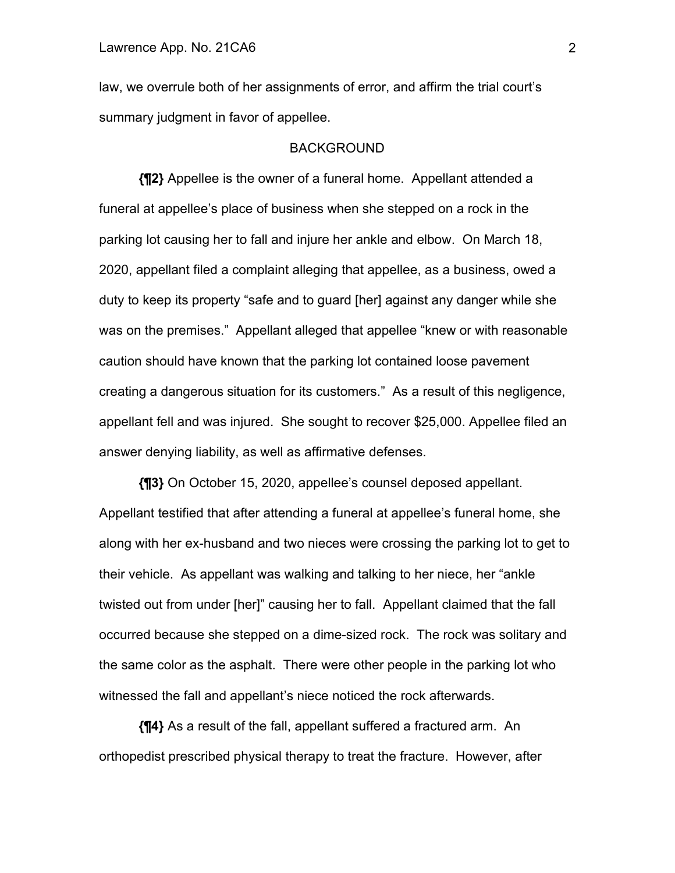law, we overrule both of her assignments of error, and affirm the trial court's summary judgment in favor of appellee.

#### BACKGROUND

**{¶2}** Appellee is the owner of a funeral home. Appellant attended a funeral at appellee's place of business when she stepped on a rock in the parking lot causing her to fall and injure her ankle and elbow. On March 18, 2020, appellant filed a complaint alleging that appellee, as a business, owed a duty to keep its property "safe and to guard [her] against any danger while she was on the premises." Appellant alleged that appellee "knew or with reasonable caution should have known that the parking lot contained loose pavement creating a dangerous situation for its customers." As a result of this negligence, appellant fell and was injured. She sought to recover \$25,000. Appellee filed an answer denying liability, as well as affirmative defenses.

**{¶3}** On October 15, 2020, appellee's counsel deposed appellant. Appellant testified that after attending a funeral at appellee's funeral home, she along with her ex-husband and two nieces were crossing the parking lot to get to their vehicle. As appellant was walking and talking to her niece, her "ankle twisted out from under [her]" causing her to fall. Appellant claimed that the fall occurred because she stepped on a dime-sized rock. The rock was solitary and the same color as the asphalt. There were other people in the parking lot who witnessed the fall and appellant's niece noticed the rock afterwards.

**{¶4}** As a result of the fall, appellant suffered a fractured arm. An orthopedist prescribed physical therapy to treat the fracture. However, after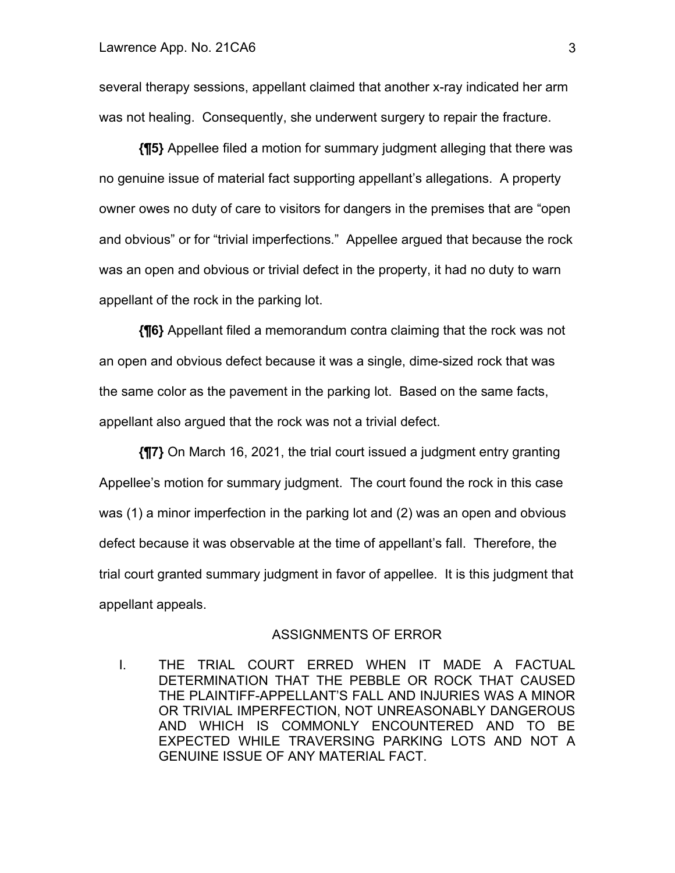several therapy sessions, appellant claimed that another x-ray indicated her arm was not healing. Consequently, she underwent surgery to repair the fracture.

**{¶5}** Appellee filed a motion for summary judgment alleging that there was no genuine issue of material fact supporting appellant's allegations. A property owner owes no duty of care to visitors for dangers in the premises that are "open and obvious" or for "trivial imperfections." Appellee argued that because the rock was an open and obvious or trivial defect in the property, it had no duty to warn appellant of the rock in the parking lot.

**{¶6}** Appellant filed a memorandum contra claiming that the rock was not an open and obvious defect because it was a single, dime-sized rock that was the same color as the pavement in the parking lot. Based on the same facts, appellant also argued that the rock was not a trivial defect.

**{¶7}** On March 16, 2021, the trial court issued a judgment entry granting Appellee's motion for summary judgment. The court found the rock in this case was (1) a minor imperfection in the parking lot and (2) was an open and obvious defect because it was observable at the time of appellant's fall. Therefore, the trial court granted summary judgment in favor of appellee. It is this judgment that appellant appeals.

### ASSIGNMENTS OF ERROR

I. THE TRIAL COURT ERRED WHEN IT MADE A FACTUAL DETERMINATION THAT THE PEBBLE OR ROCK THAT CAUSED THE PLAINTIFF-APPELLANT'S FALL AND INJURIES WAS A MINOR OR TRIVIAL IMPERFECTION, NOT UNREASONABLY DANGEROUS AND WHICH IS COMMONLY ENCOUNTERED AND TO BE EXPECTED WHILE TRAVERSING PARKING LOTS AND NOT A GENUINE ISSUE OF ANY MATERIAL FACT.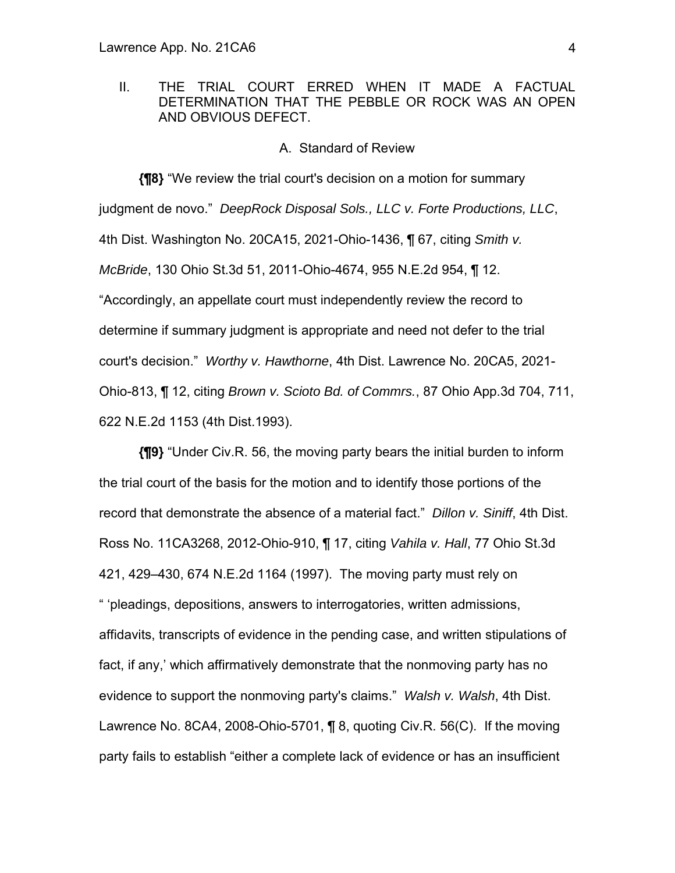# II. THE TRIAL COURT ERRED WHEN IT MADE A FACTUAL DETERMINATION THAT THE PEBBLE OR ROCK WAS AN OPEN AND OBVIOUS DEFECT.

#### A. Standard of Review

**{¶8}** "We review the trial court's decision on a motion for summary judgment de novo." *DeepRock Disposal Sols., LLC v. Forte Productions, LLC*, 4th Dist. Washington No. 20CA15, 2021-Ohio-1436, ¶ 67, citing *Smith v. McBride*, 130 Ohio St.3d 51, 2011-Ohio-4674, 955 N.E.2d 954, ¶ 12. "Accordingly, an appellate court must independently review the record to determine if summary judgment is appropriate and need not defer to the trial court's decision." *Worthy v. Hawthorne*, 4th Dist. Lawrence No. 20CA5, 2021- Ohio-813, ¶ 12, citing *Brown v. Scioto Bd. of Commrs.*, 87 Ohio App.3d 704, 711, 622 N.E.2d 1153 (4th Dist.1993).

 **{¶9}** "Under Civ.R. 56, the moving party bears the initial burden to inform the trial court of the basis for the motion and to identify those portions of the record that demonstrate the absence of a material fact." *Dillon v. Siniff*, 4th Dist. Ross No. 11CA3268, 2012-Ohio-910, ¶ 17, citing *Vahila v. Hall*, 77 Ohio St.3d 421, 429–430, 674 N.E.2d 1164 (1997). The moving party must rely on " 'pleadings, depositions, answers to interrogatories, written admissions, affidavits, transcripts of evidence in the pending case, and written stipulations of fact, if any,' which affirmatively demonstrate that the nonmoving party has no evidence to support the nonmoving party's claims." *Walsh v. Walsh*, 4th Dist. Lawrence No. 8CA4, 2008-Ohio-5701, ¶ 8, quoting Civ.R. 56(C). If the moving party fails to establish "either a complete lack of evidence or has an insufficient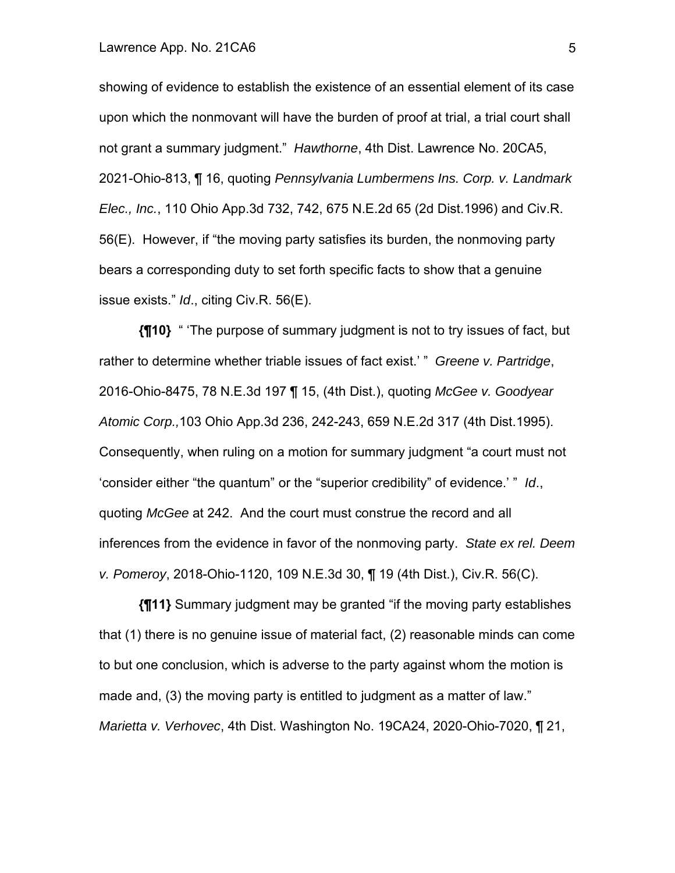showing of evidence to establish the existence of an essential element of its case upon which the nonmovant will have the burden of proof at trial, a trial court shall not grant a summary judgment." *Hawthorne*, 4th Dist. Lawrence No. 20CA5, 2021-Ohio-813, ¶ 16, quoting *Pennsylvania Lumbermens Ins. Corp. v. Landmark Elec., Inc.*, 110 Ohio App.3d 732, 742, 675 N.E.2d 65 (2d Dist.1996) and Civ.R. 56(E). However, if "the moving party satisfies its burden, the nonmoving party bears a corresponding duty to set forth specific facts to show that a genuine issue exists." *Id*., citing Civ.R. 56(E).

**{¶10}** " 'The purpose of summary judgment is not to try issues of fact, but rather to determine whether triable issues of fact exist.' " *Greene v. Partridge*, 2016-Ohio-8475, 78 N.E.3d 197 ¶ 15, (4th Dist.), quoting *McGee v. Goodyear Atomic Corp.,*103 Ohio App.3d 236, 242-243, 659 N.E.2d 317 (4th Dist.1995). Consequently, when ruling on a motion for summary judgment "a court must not 'consider either "the quantum" or the "superior credibility" of evidence.' " *Id*., quoting *McGee* at 242. And the court must construe the record and all inferences from the evidence in favor of the nonmoving party. *State ex rel. Deem v. Pomeroy*, 2018-Ohio-1120, 109 N.E.3d 30, ¶ 19 (4th Dist.), Civ.R. 56(C).

**{¶11}** Summary judgment may be granted "if the moving party establishes that (1) there is no genuine issue of material fact, (2) reasonable minds can come to but one conclusion, which is adverse to the party against whom the motion is made and, (3) the moving party is entitled to judgment as a matter of law." *Marietta v. Verhovec*, 4th Dist. Washington No. 19CA24, 2020-Ohio-7020, ¶ 21,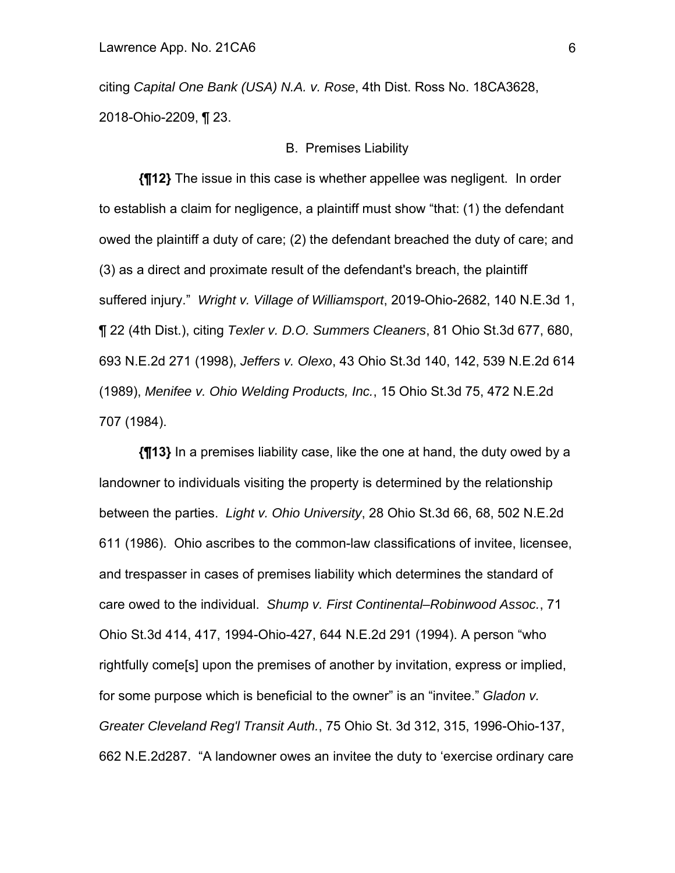citing *Capital One Bank (USA) N.A. v. Rose*, 4th Dist. Ross No. 18CA3628, 2018-Ohio-2209, ¶ 23.

#### B. Premises Liability

**{¶12}** The issue in this case is whether appellee was negligent. In order to establish a claim for negligence, a plaintiff must show "that: (1) the defendant owed the plaintiff a duty of care; (2) the defendant breached the duty of care; and (3) as a direct and proximate result of the defendant's breach, the plaintiff suffered injury." *Wright v. Village of Williamsport*, 2019-Ohio-2682, 140 N.E.3d 1, ¶ 22 (4th Dist.), citing *Texler v. D.O. Summers Cleaners*, 81 Ohio St.3d 677, 680, 693 N.E.2d 271 (1998), *Jeffers v. Olexo*, 43 Ohio St.3d 140, 142, 539 N.E.2d 614 (1989), *Menifee v. Ohio Welding Products, Inc.*, 15 Ohio St.3d 75, 472 N.E.2d 707 (1984).

**{¶13}** In a premises liability case, like the one at hand, the duty owed by a landowner to individuals visiting the property is determined by the relationship between the parties. *Light v. Ohio University*, 28 Ohio St.3d 66, 68, 502 N.E.2d 611 (1986). Ohio ascribes to the common-law classifications of invitee, licensee, and trespasser in cases of premises liability which determines the standard of care owed to the individual. *Shump v. First Continental–Robinwood Assoc.*, 71 Ohio St.3d 414, 417, 1994-Ohio-427, 644 N.E.2d 291 (1994). A person "who rightfully come[s] upon the premises of another by invitation, express or implied, for some purpose which is beneficial to the owner" is an "invitee." *Gladon v. Greater Cleveland Reg'l Transit Auth.*, 75 Ohio St. 3d 312, 315, 1996-Ohio-137, 662 N.E.2d287. "A landowner owes an invitee the duty to 'exercise ordinary care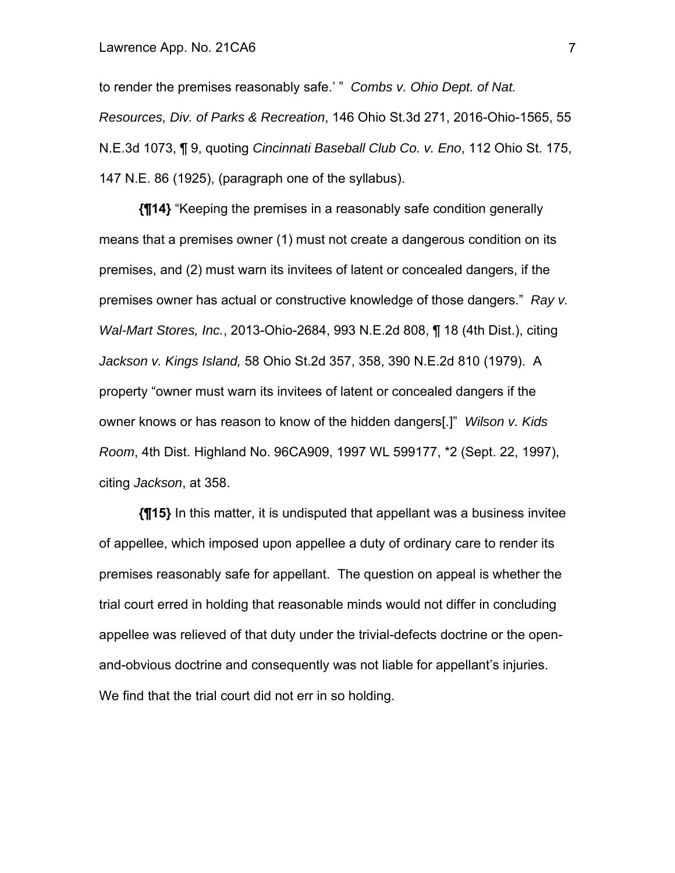to render the premises reasonably safe.' " *Combs v. Ohio Dept. of Nat. Resources, Div. of Parks & Recreation*, 146 Ohio St.3d 271, 2016-Ohio-1565, 55 N.E.3d 1073, ¶ 9, quoting *Cincinnati Baseball Club Co. v. Eno*, 112 Ohio St. 175, 147 N.E. 86 (1925), (paragraph one of the syllabus).

**{¶14}** "Keeping the premises in a reasonably safe condition generally means that a premises owner (1) must not create a dangerous condition on its premises, and (2) must warn its invitees of latent or concealed dangers, if the premises owner has actual or constructive knowledge of those dangers." *Ray v. Wal-Mart Stores, Inc.*, 2013-Ohio-2684, 993 N.E.2d 808, ¶ 18 (4th Dist.), citing *Jackson v. Kings Island,* 58 Ohio St.2d 357, 358, 390 N.E.2d 810 (1979). A property "owner must warn its invitees of latent or concealed dangers if the owner knows or has reason to know of the hidden dangers[.]" *Wilson v. Kids Room*, 4th Dist. Highland No. 96CA909, 1997 WL 599177, \*2 (Sept. 22, 1997), citing *Jackson*, at 358.

**{¶15}** In this matter, it is undisputed that appellant was a business invitee of appellee, which imposed upon appellee a duty of ordinary care to render its premises reasonably safe for appellant. The question on appeal is whether the trial court erred in holding that reasonable minds would not differ in concluding appellee was relieved of that duty under the trivial-defects doctrine or the openand-obvious doctrine and consequently was not liable for appellant's injuries. We find that the trial court did not err in so holding.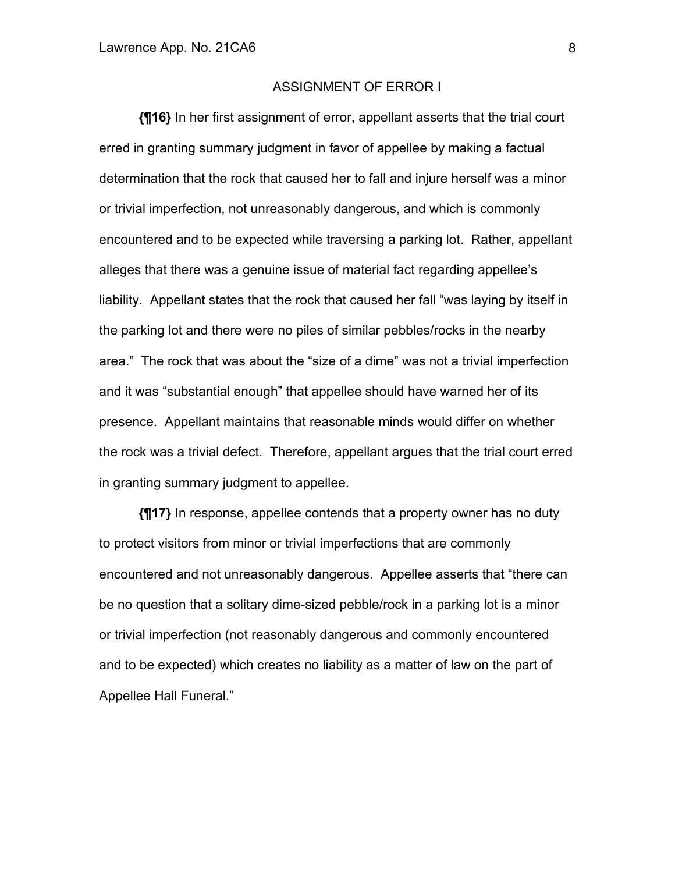## ASSIGNMENT OF ERROR I

**{¶16}** In her first assignment of error, appellant asserts that the trial court erred in granting summary judgment in favor of appellee by making a factual determination that the rock that caused her to fall and injure herself was a minor or trivial imperfection, not unreasonably dangerous, and which is commonly encountered and to be expected while traversing a parking lot. Rather, appellant alleges that there was a genuine issue of material fact regarding appellee's liability. Appellant states that the rock that caused her fall "was laying by itself in the parking lot and there were no piles of similar pebbles/rocks in the nearby area." The rock that was about the "size of a dime" was not a trivial imperfection and it was "substantial enough" that appellee should have warned her of its presence. Appellant maintains that reasonable minds would differ on whether the rock was a trivial defect. Therefore, appellant argues that the trial court erred in granting summary judgment to appellee.

**{¶17}** In response, appellee contends that a property owner has no duty to protect visitors from minor or trivial imperfections that are commonly encountered and not unreasonably dangerous. Appellee asserts that "there can be no question that a solitary dime-sized pebble/rock in a parking lot is a minor or trivial imperfection (not reasonably dangerous and commonly encountered and to be expected) which creates no liability as a matter of law on the part of Appellee Hall Funeral."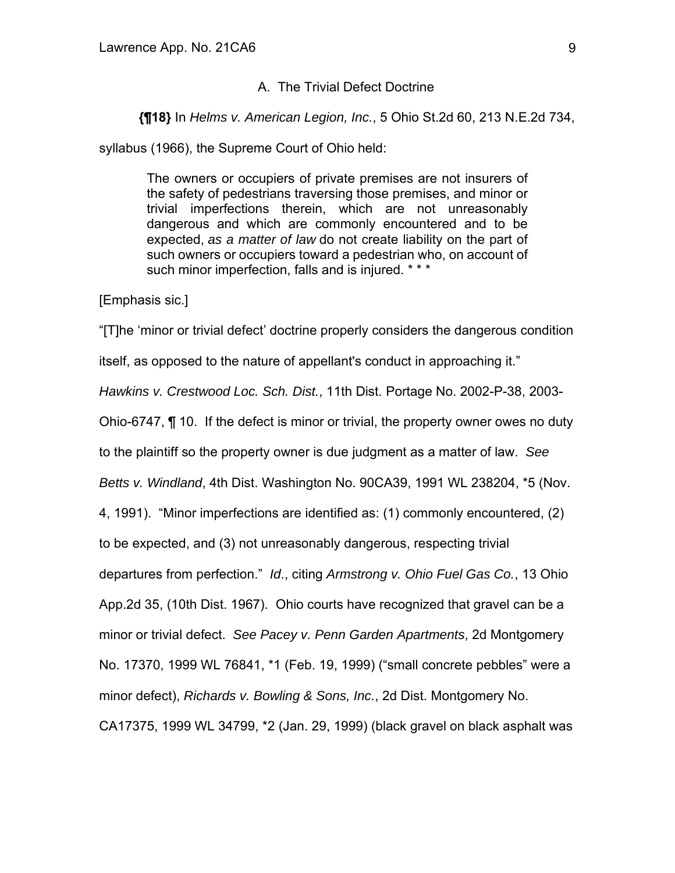### A. The Trivial Defect Doctrine

**{¶18}** In *Helms v. American Legion, Inc.*, 5 Ohio St.2d 60, 213 N.E.2d 734,

syllabus (1966), the Supreme Court of Ohio held:

The owners or occupiers of private premises are not insurers of the safety of pedestrians traversing those premises, and minor or trivial imperfections therein, which are not unreasonably dangerous and which are commonly encountered and to be expected, *as a matter of law* do not create liability on the part of such owners or occupiers toward a pedestrian who, on account of such minor imperfection, falls and is injured. \*\*\*

[Emphasis sic.]

"[T]he 'minor or trivial defect' doctrine properly considers the dangerous condition

itself, as opposed to the nature of appellant's conduct in approaching it."

*Hawkins v. Crestwood Loc. Sch. Dist.*, 11th Dist. Portage No. 2002-P-38, 2003-

Ohio-6747, ¶ 10. If the defect is minor or trivial, the property owner owes no duty

to the plaintiff so the property owner is due judgment as a matter of law. *See*

*Betts v. Windland*, 4th Dist. Washington No. 90CA39, 1991 WL 238204, \*5 (Nov.

4, 1991). "Minor imperfections are identified as: (1) commonly encountered, (2)

to be expected, and (3) not unreasonably dangerous, respecting trivial

departures from perfection." *Id*., citing *Armstrong v. Ohio Fuel Gas Co.*, 13 Ohio

App.2d 35, (10th Dist. 1967). Ohio courts have recognized that gravel can be a

minor or trivial defect. *See Pacey v. Penn Garden Apartments*, 2d Montgomery

No. 17370, 1999 WL 76841, \*1 (Feb. 19, 1999) ("small concrete pebbles" were a

minor defect), *Richards v. Bowling & Sons, Inc.*, 2d Dist. Montgomery No.

CA17375, 1999 WL 34799, \*2 (Jan. 29, 1999) (black gravel on black asphalt was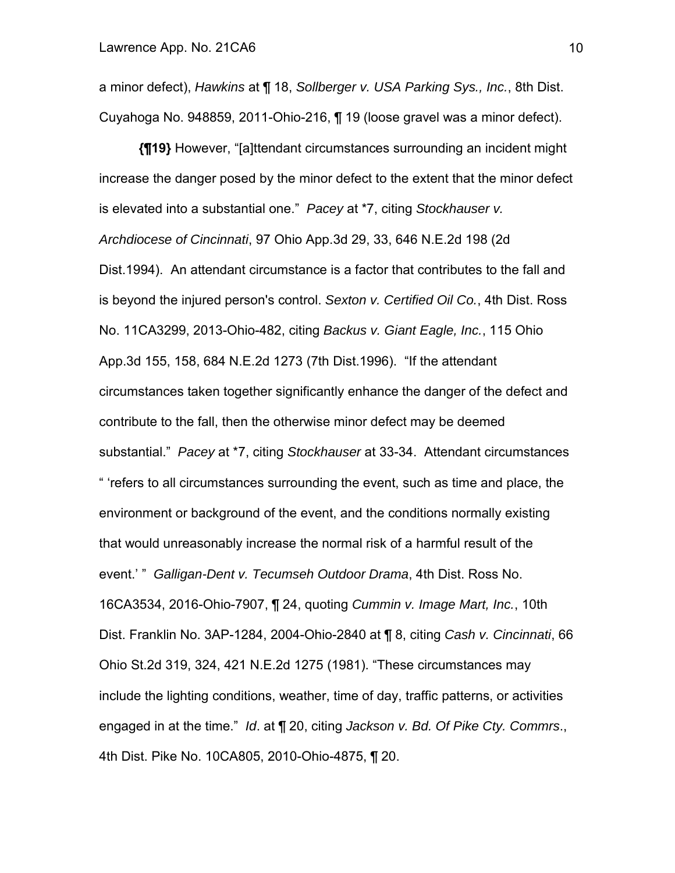a minor defect), *Hawkins* at ¶ 18, *Sollberger v. USA Parking Sys., Inc.*, 8th Dist. Cuyahoga No. 948859, 2011-Ohio-216, ¶ 19 (loose gravel was a minor defect).

**{¶19}** However, "[a]ttendant circumstances surrounding an incident might increase the danger posed by the minor defect to the extent that the minor defect is elevated into a substantial one." *Pacey* at \*7, citing *Stockhauser v. Archdiocese of Cincinnati*, 97 Ohio App.3d 29, 33, 646 N.E.2d 198 (2d Dist.1994). An attendant circumstance is a factor that contributes to the fall and is beyond the injured person's control. *Sexton v. Certified Oil Co.*, 4th Dist. Ross No. 11CA3299, 2013-Ohio-482, citing *Backus v. Giant Eagle, Inc.*, 115 Ohio App.3d 155, 158, 684 N.E.2d 1273 (7th Dist.1996). "If the attendant circumstances taken together significantly enhance the danger of the defect and contribute to the fall, then the otherwise minor defect may be deemed substantial." *Pacey* at \*7, citing *Stockhauser* at 33-34. Attendant circumstances " 'refers to all circumstances surrounding the event, such as time and place, the environment or background of the event, and the conditions normally existing that would unreasonably increase the normal risk of a harmful result of the event.' " *Galligan-Dent v. Tecumseh Outdoor Drama*, 4th Dist. Ross No. 16CA3534, 2016-Ohio-7907, ¶ 24, quoting *Cummin v. Image Mart, Inc.*, 10th Dist. Franklin No. 3AP-1284, 2004-Ohio-2840 at ¶ 8, citing *Cash v. Cincinnati*, 66 Ohio St.2d 319, 324, 421 N.E.2d 1275 (1981). "These circumstances may include the lighting conditions, weather, time of day, traffic patterns, or activities engaged in at the time." *Id*. at ¶ 20, citing *Jackson v. Bd. Of Pike Cty. Commrs*., 4th Dist. Pike No. 10CA805, 2010-Ohio-4875, ¶ 20.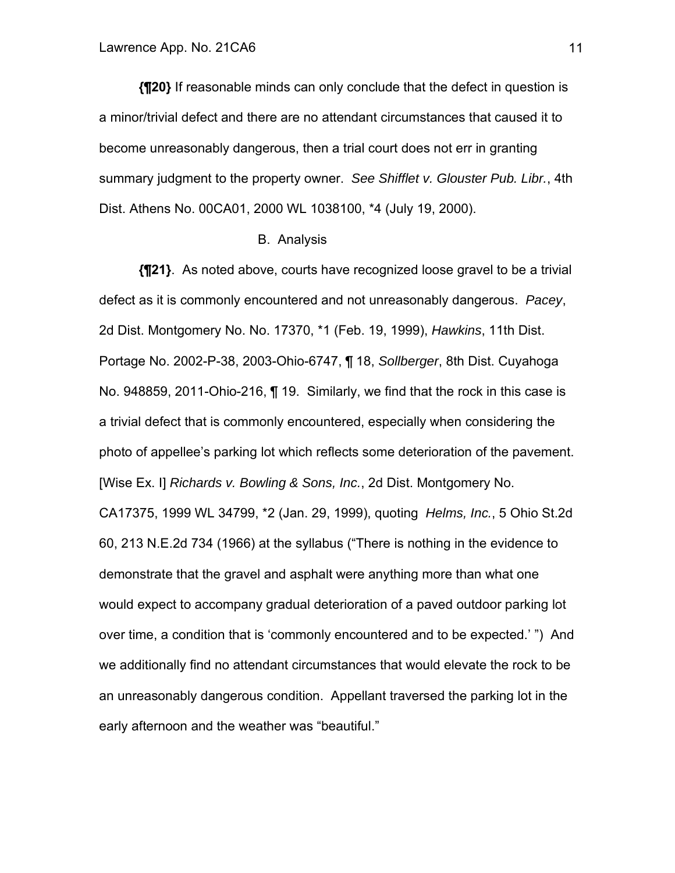**{¶20}** If reasonable minds can only conclude that the defect in question is a minor/trivial defect and there are no attendant circumstances that caused it to become unreasonably dangerous, then a trial court does not err in granting summary judgment to the property owner. *See Shifflet v. Glouster Pub. Libr.*, 4th Dist. Athens No. 00CA01, 2000 WL 1038100, \*4 (July 19, 2000).

### B. Analysis

**{¶21}**. As noted above, courts have recognized loose gravel to be a trivial defect as it is commonly encountered and not unreasonably dangerous. *Pacey*, 2d Dist. Montgomery No. No. 17370, \*1 (Feb. 19, 1999), *Hawkins*, 11th Dist. Portage No. 2002-P-38, 2003-Ohio-6747, ¶ 18, *Sollberger*, 8th Dist. Cuyahoga No. 948859, 2011-Ohio-216, ¶ 19. Similarly, we find that the rock in this case is a trivial defect that is commonly encountered, especially when considering the photo of appellee's parking lot which reflects some deterioration of the pavement. [Wise Ex. I] *Richards v. Bowling & Sons, Inc.*, 2d Dist. Montgomery No. CA17375, 1999 WL 34799, \*2 (Jan. 29, 1999), quoting *Helms, Inc.*, 5 Ohio St.2d 60, 213 N.E.2d 734 (1966) at the syllabus ("There is nothing in the evidence to demonstrate that the gravel and asphalt were anything more than what one would expect to accompany gradual deterioration of a paved outdoor parking lot over time, a condition that is 'commonly encountered and to be expected.' ") And we additionally find no attendant circumstances that would elevate the rock to be an unreasonably dangerous condition. Appellant traversed the parking lot in the early afternoon and the weather was "beautiful."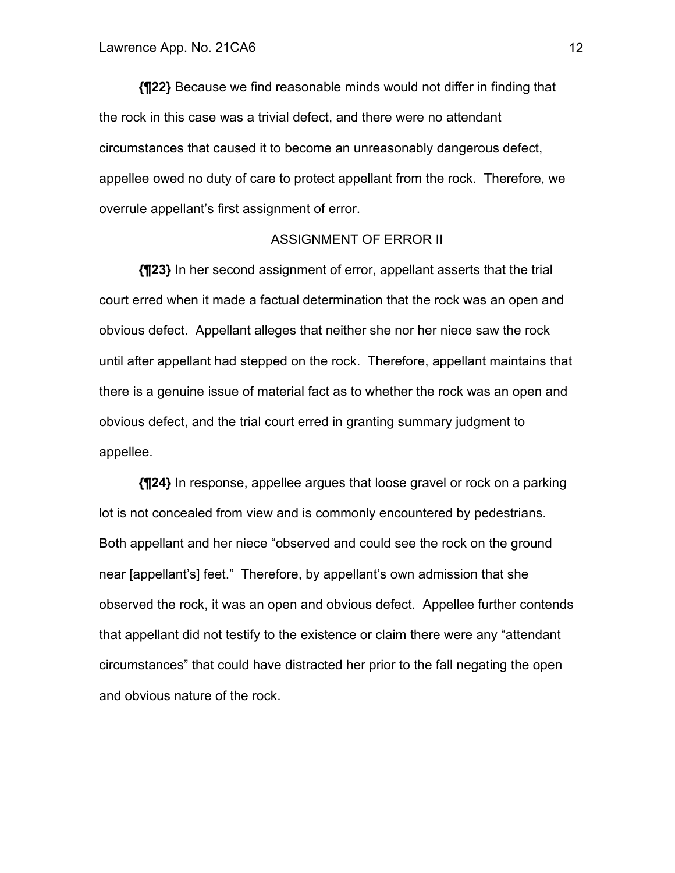**{¶22}** Because we find reasonable minds would not differ in finding that the rock in this case was a trivial defect, and there were no attendant circumstances that caused it to become an unreasonably dangerous defect, appellee owed no duty of care to protect appellant from the rock. Therefore, we overrule appellant's first assignment of error.

### ASSIGNMENT OF ERROR II

 **{¶23}** In her second assignment of error, appellant asserts that the trial court erred when it made a factual determination that the rock was an open and obvious defect. Appellant alleges that neither she nor her niece saw the rock until after appellant had stepped on the rock. Therefore, appellant maintains that there is a genuine issue of material fact as to whether the rock was an open and obvious defect, and the trial court erred in granting summary judgment to appellee.

 **{¶24}** In response, appellee argues that loose gravel or rock on a parking lot is not concealed from view and is commonly encountered by pedestrians. Both appellant and her niece "observed and could see the rock on the ground near [appellant's] feet." Therefore, by appellant's own admission that she observed the rock, it was an open and obvious defect. Appellee further contends that appellant did not testify to the existence or claim there were any "attendant circumstances" that could have distracted her prior to the fall negating the open and obvious nature of the rock.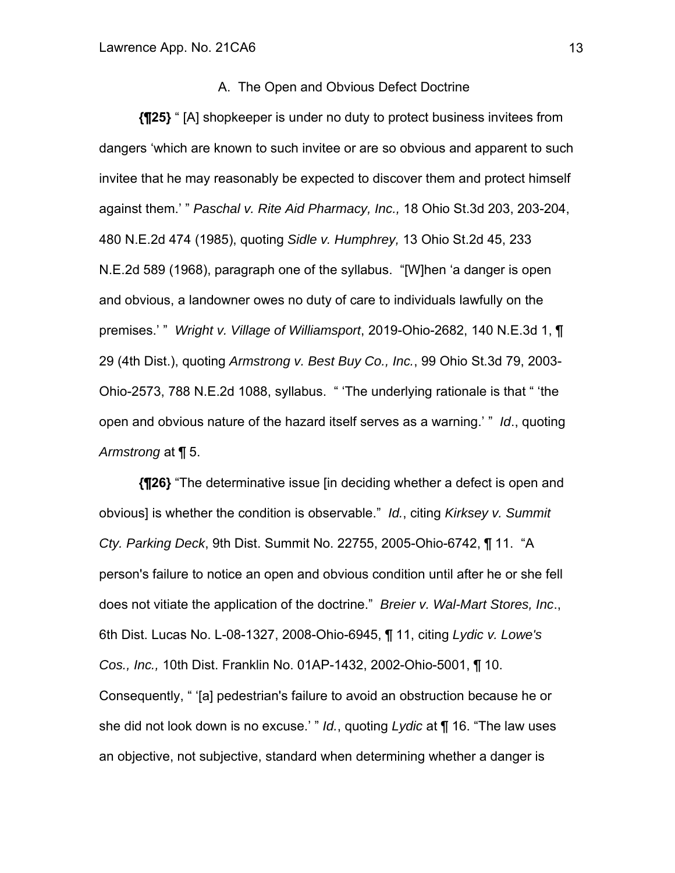### A. The Open and Obvious Defect Doctrine

**{¶25}** " [A] shopkeeper is under no duty to protect business invitees from dangers 'which are known to such invitee or are so obvious and apparent to such invitee that he may reasonably be expected to discover them and protect himself against them.' " *Paschal v. Rite Aid Pharmacy, Inc.,* 18 Ohio St.3d 203, 203-204, 480 N.E.2d 474 (1985), quoting *Sidle v. Humphrey,* 13 Ohio St.2d 45, 233 N.E.2d 589 (1968), paragraph one of the syllabus. "[W]hen 'a danger is open and obvious, a landowner owes no duty of care to individuals lawfully on the premises.' " *Wright v. Village of Williamsport*, 2019-Ohio-2682, 140 N.E.3d 1, ¶ 29 (4th Dist.), quoting *Armstrong v. Best Buy Co., Inc.*, 99 Ohio St.3d 79, 2003- Ohio-2573, 788 N.E.2d 1088, syllabus. " 'The underlying rationale is that " 'the open and obvious nature of the hazard itself serves as a warning.' " *Id*., quoting *Armstrong* at ¶ 5.

**{¶26}** "The determinative issue [in deciding whether a defect is open and obvious] is whether the condition is observable." *Id.*, citing *Kirksey v. Summit Cty. Parking Deck*, 9th Dist. Summit No. 22755, 2005-Ohio-6742, ¶ 11. "A person's failure to notice an open and obvious condition until after he or she fell does not vitiate the application of the doctrine." *Breier v. Wal-Mart Stores, Inc*., 6th Dist. Lucas No. L-08-1327, 2008-Ohio-6945, ¶ 11, citing *Lydic v. Lowe's Cos., Inc.,* 10th Dist. Franklin No. 01AP-1432, 2002-Ohio-5001, ¶ 10. Consequently, " '[a] pedestrian's failure to avoid an obstruction because he or she did not look down is no excuse.' " *Id.*, quoting *Lydic* at ¶ 16. "The law uses an objective, not subjective, standard when determining whether a danger is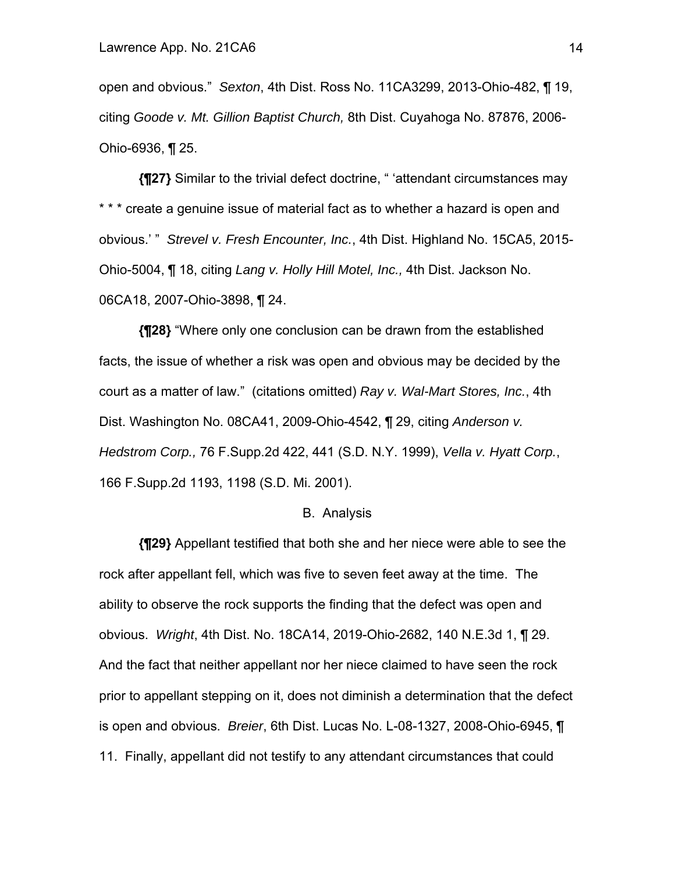open and obvious." *Sexton*, 4th Dist. Ross No. 11CA3299, 2013-Ohio-482, ¶ 19, citing *Goode v. Mt. Gillion Baptist Church,* 8th Dist. Cuyahoga No. 87876, 2006- Ohio-6936, ¶ 25.

**{¶27}** Similar to the trivial defect doctrine, " 'attendant circumstances may \* \* \* create a genuine issue of material fact as to whether a hazard is open and obvious.' " *Strevel v. Fresh Encounter, Inc.*, 4th Dist. Highland No. 15CA5, 2015- Ohio-5004, ¶ 18, citing *Lang v. Holly Hill Motel, Inc.,* 4th Dist. Jackson No. 06CA18, 2007-Ohio-3898, ¶ 24.

**{¶28}** "Where only one conclusion can be drawn from the established facts, the issue of whether a risk was open and obvious may be decided by the court as a matter of law." (citations omitted) *Ray v. Wal-Mart Stores, Inc.*, 4th Dist. Washington No. 08CA41, 2009-Ohio-4542, ¶ 29, citing *Anderson v. Hedstrom Corp.,* 76 F.Supp.2d 422, 441 (S.D. N.Y. 1999), *Vella v. Hyatt Corp.*, 166 F.Supp.2d 1193, 1198 (S.D. Mi. 2001).

#### B. Analysis

**{¶29}** Appellant testified that both she and her niece were able to see the rock after appellant fell, which was five to seven feet away at the time. The ability to observe the rock supports the finding that the defect was open and obvious. *Wright*, 4th Dist. No. 18CA14, 2019-Ohio-2682, 140 N.E.3d 1, ¶ 29. And the fact that neither appellant nor her niece claimed to have seen the rock prior to appellant stepping on it, does not diminish a determination that the defect is open and obvious. *Breier*, 6th Dist. Lucas No. L-08-1327, 2008-Ohio-6945, ¶ 11. Finally, appellant did not testify to any attendant circumstances that could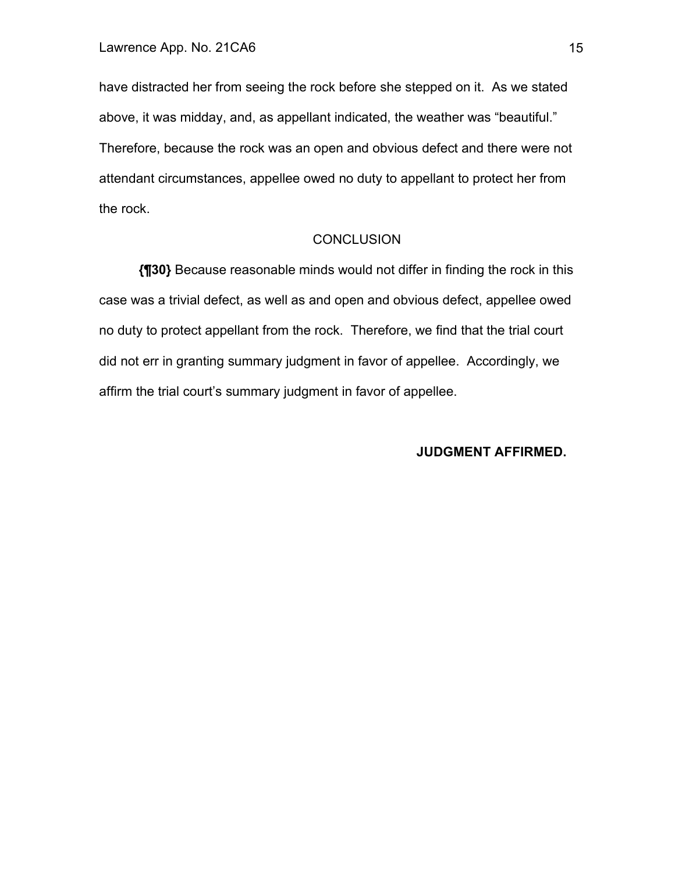have distracted her from seeing the rock before she stepped on it. As we stated above, it was midday, and, as appellant indicated, the weather was "beautiful." Therefore, because the rock was an open and obvious defect and there were not attendant circumstances, appellee owed no duty to appellant to protect her from the rock.

## **CONCLUSION**

**{¶30}** Because reasonable minds would not differ in finding the rock in this case was a trivial defect, as well as and open and obvious defect, appellee owed no duty to protect appellant from the rock. Therefore, we find that the trial court did not err in granting summary judgment in favor of appellee. Accordingly, we affirm the trial court's summary judgment in favor of appellee.

## **JUDGMENT AFFIRMED.**